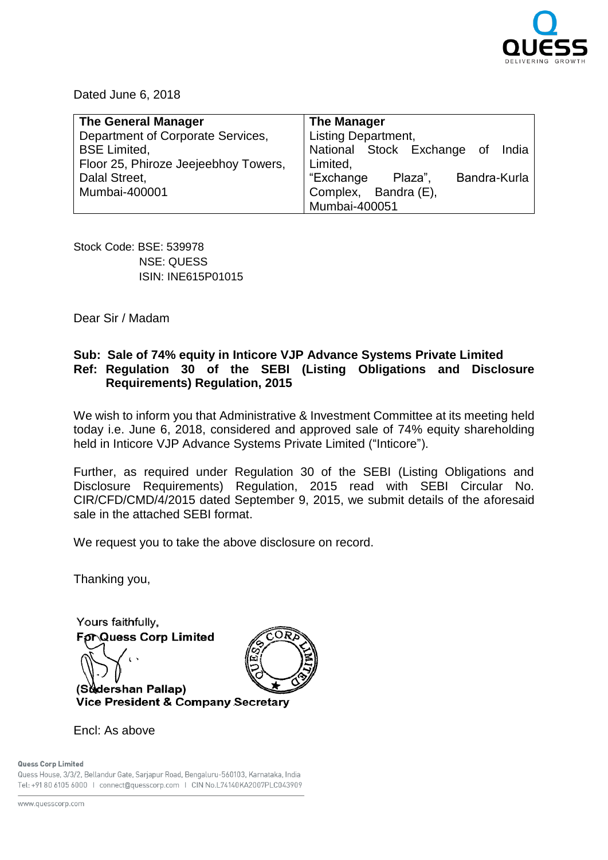

Dated June 6, 2018

| <b>The General Manager</b>           | <b>The Manager</b>                   |
|--------------------------------------|--------------------------------------|
| Department of Corporate Services,    | <b>Listing Department,</b>           |
| <b>BSE</b> Limited,                  | National Stock Exchange of India     |
| Floor 25, Phiroze Jeejeebhoy Towers, | Limited,                             |
| Dalal Street,                        | "Exchange<br>Bandra-Kurla<br>Plaza", |
| Mumbai-400001                        | Complex, Bandra (E),                 |
|                                      | Mumbai-400051                        |

Stock Code: BSE: 539978 NSE: QUESS ISIN: INE615P01015

Dear Sir / Madam

## **Sub: Sale of 74% equity in Inticore VJP Advance Systems Private Limited Ref: Regulation 30 of the SEBI (Listing Obligations and Disclosure Requirements) Regulation, 2015**

We wish to inform you that Administrative & Investment Committee at its meeting held today i.e. June 6, 2018, considered and approved sale of 74% equity shareholding held in Inticore VJP Advance Systems Private Limited ("Inticore").

Further, as required under Regulation 30 of the SEBI (Listing Obligations and Disclosure Requirements) Regulation, 2015 read with SEBI Circular No. CIR/CFD/CMD/4/2015 dated September 9, 2015, we submit details of the aforesaid sale in the attached SEBI format.

We request you to take the above disclosure on record.

Thanking you,

Yours faithfully. **For Quess Corp Limited** (Sudershan Pallap) Vice President & Company Secretary

Encl: As above

## Quess Corp Limited

Quess House, 3/3/2, Bellandur Gate, Sarjapur Road, Bengaluru-560103, Karnataka, India Tel: +91 80 6105 6000 | connect@quesscorp.com | CIN No.L74140KA2007PLC043909